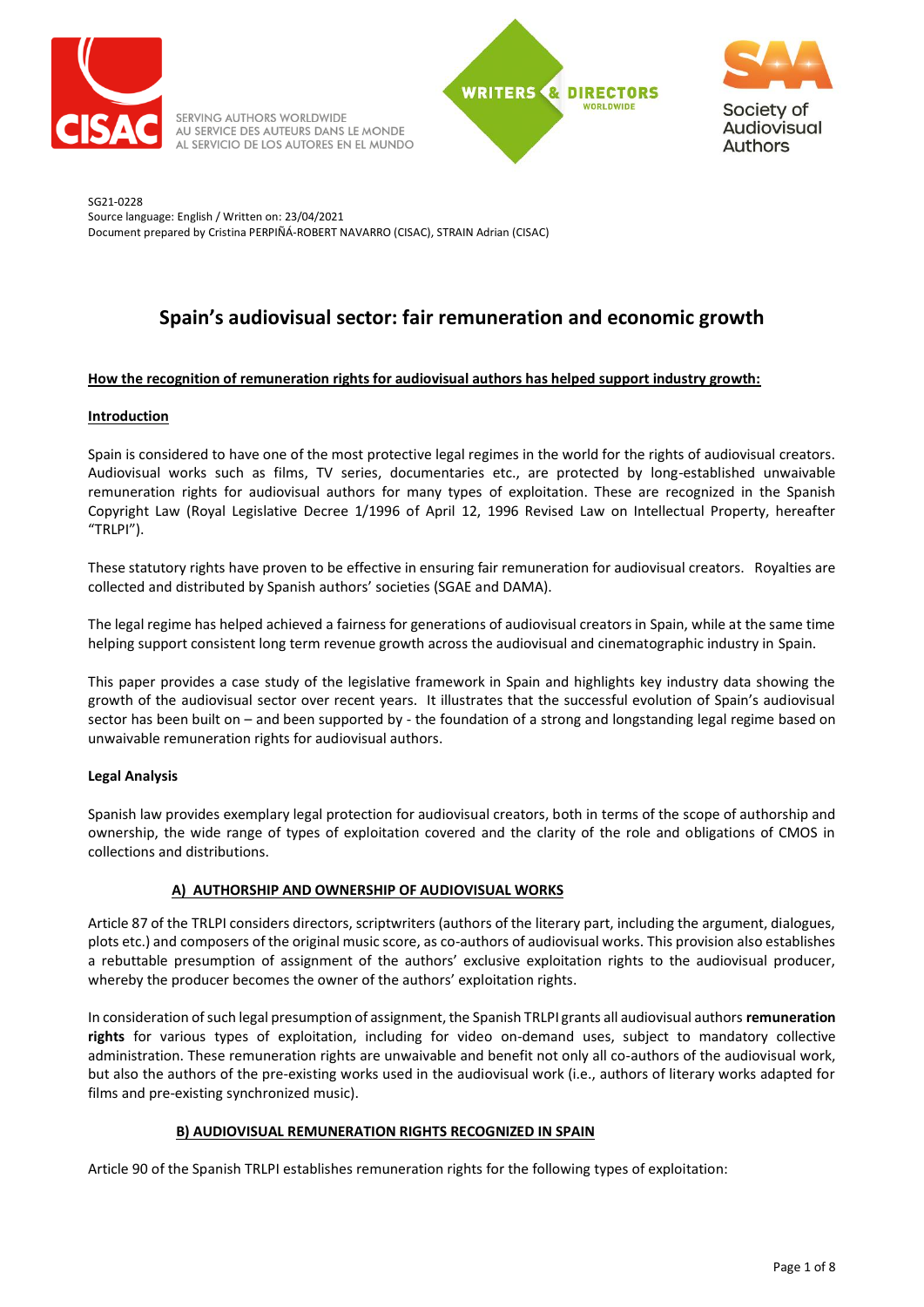

SERVING AUTHORS WORLDWIDE AU SERVICE DES AUTEURS DANS LE MONDE AL SERVICIO DE LOS AUTORES EN EL MUNDO





SG21-0228 Source language: English / Written on: 23/04/2021 Document prepared by Cristina PERPIÑÁ-ROBERT NAVARRO (CISAC), STRAIN Adrian (CISAC)

# **Spain's audiovisual sector: fair remuneration and economic growth**

# **How the recognition of remuneration rights for audiovisual authors has helped support industry growth:**

# **Introduction**

Spain is considered to have one of the most protective legal regimes in the world for the rights of audiovisual creators. Audiovisual works such as films, TV series, documentaries etc., are protected by long-established unwaivable remuneration rights for audiovisual authors for many types of exploitation. These are recognized in the Spanish Copyright Law (Royal Legislative Decree 1/1996 of April 12, 1996 Revised Law on Intellectual Property, hereafter "TRLPI").

These statutory rights have proven to be effective in ensuring fair remuneration for audiovisual creators. Royalties are collected and distributed by Spanish authors' societies (SGAE and DAMA).

The legal regime has helped achieved a fairness for generations of audiovisual creators in Spain, while at the same time helping support consistent long term revenue growth across the audiovisual and cinematographic industry in Spain.

This paper provides a case study of the legislative framework in Spain and highlights key industry data showing the growth of the audiovisual sector over recent years. It illustrates that the successful evolution of Spain's audiovisual sector has been built on – and been supported by - the foundation of a strong and longstanding legal regime based on unwaivable remuneration rights for audiovisual authors.

# **Legal Analysis**

Spanish law provides exemplary legal protection for audiovisual creators, both in terms of the scope of authorship and ownership, the wide range of types of exploitation covered and the clarity of the role and obligations of CMOS in collections and distributions.

# **A) AUTHORSHIP AND OWNERSHIP OF AUDIOVISUAL WORKS**

Article 87 of the TRLPI considers directors, scriptwriters (authors of the literary part, including the argument, dialogues, plots etc.) and composers of the original music score, as co-authors of audiovisual works. This provision also establishes a rebuttable presumption of assignment of the authors' exclusive exploitation rights to the audiovisual producer, whereby the producer becomes the owner of the authors' exploitation rights.

In consideration of such legal presumption of assignment, the Spanish TRLPI grants all audiovisual authors **remuneration rights** for various types of exploitation, including for video on-demand uses, subject to mandatory collective administration. These remuneration rights are unwaivable and benefit not only all co-authors of the audiovisual work, but also the authors of the pre-existing works used in the audiovisual work (i.e., authors of literary works adapted for films and pre-existing synchronized music).

### **B) AUDIOVISUAL REMUNERATION RIGHTS RECOGNIZED IN SPAIN**

Article 90 of the Spanish TRLPI establishes remuneration rights for the following types of exploitation: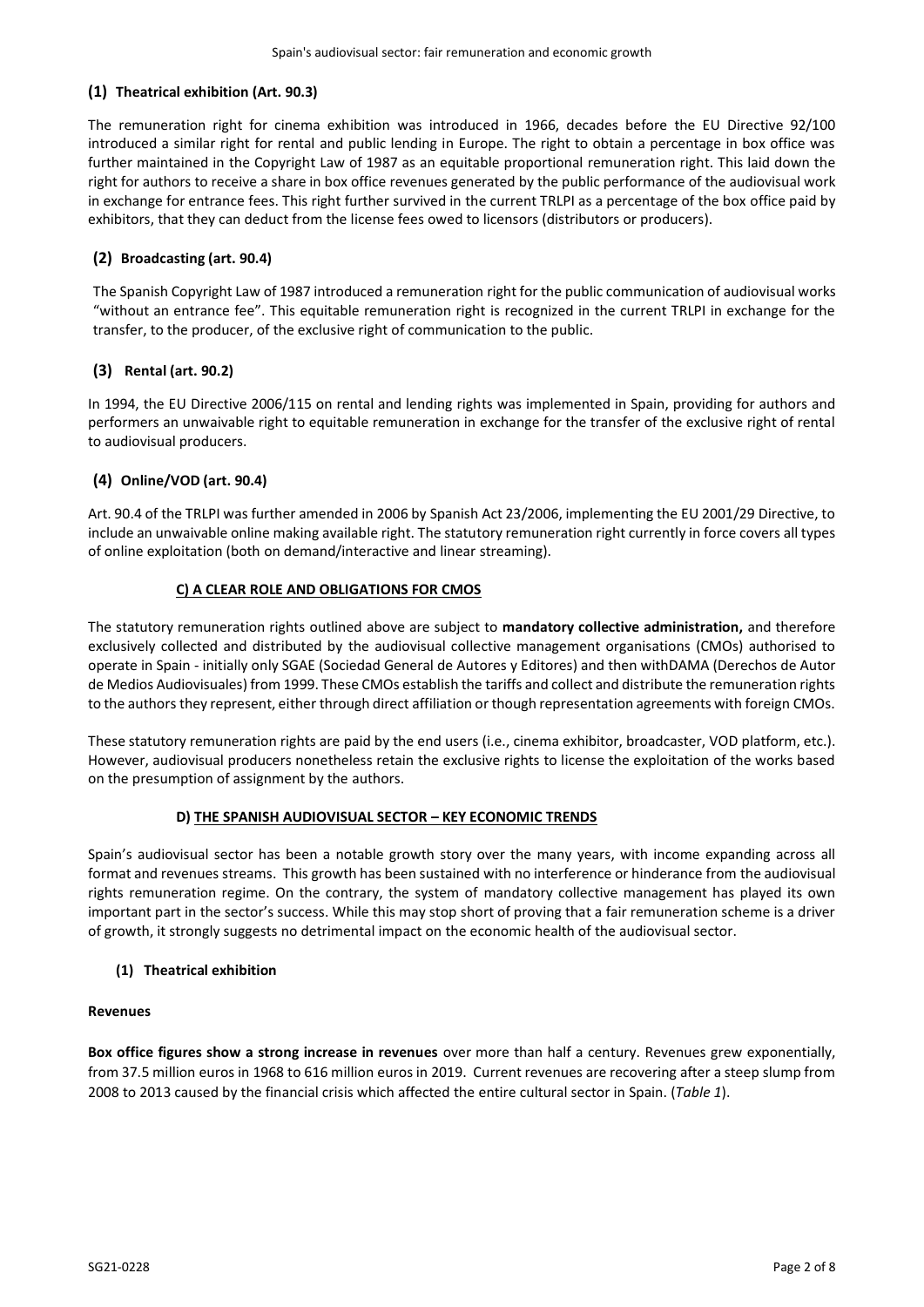# **(1) Theatrical exhibition (Art. 90.3)**

The remuneration right for cinema exhibition was introduced in 1966, decades before the EU Directive 92/100 introduced a similar right for rental and public lending in Europe. The right to obtain a percentage in box office was further maintained in the Copyright Law of 1987 as an equitable proportional remuneration right. This laid down the right for authors to receive a share in box office revenues generated by the public performance of the audiovisual work in exchange for entrance fees. This right further survived in the current TRLPI as a percentage of the box office paid by exhibitors, that they can deduct from the license fees owed to licensors (distributors or producers).

# **(2) Broadcasting (art. 90.4)**

The Spanish Copyright Law of 1987 introduced a remuneration right for the public communication of audiovisual works "without an entrance fee". This equitable remuneration right is recognized in the current TRLPI in exchange for the transfer, to the producer, of the exclusive right of communication to the public.

# **(3) Rental (art. 90.2)**

In 1994, the EU Directive 2006/115 on rental and lending rights was implemented in Spain, providing for authors and performers an unwaivable right to equitable remuneration in exchange for the transfer of the exclusive right of rental to audiovisual producers.

# **(4) Online/VOD (art. 90.4)**

Art. 90.4 of the TRLPI was further amended in 2006 by Spanish Act 23/2006, implementing the EU 2001/29 Directive, to include an unwaivable online making available right. The statutory remuneration right currently in force covers all types of online exploitation (both on demand/interactive and linear streaming).

### **C) A CLEAR ROLE AND OBLIGATIONS FOR CMOS**

The statutory remuneration rights outlined above are subject to **mandatory collective administration,** and therefore exclusively collected and distributed by the audiovisual collective management organisations (CMOs) authorised to operate in Spain - initially only SGAE (Sociedad General de Autores y Editores) and then withDAMA (Derechos de Autor de Medios Audiovisuales) from 1999. These CMOs establish the tariffs and collect and distribute the remuneration rights to the authors they represent, either through direct affiliation or though representation agreements with foreign CMOs.

These statutory remuneration rights are paid by the end users (i.e., cinema exhibitor, broadcaster, VOD platform, etc.). However, audiovisual producers nonetheless retain the exclusive rights to license the exploitation of the works based on the presumption of assignment by the authors.

### **D) THE SPANISH AUDIOVISUAL SECTOR – KEY ECONOMIC TRENDS**

Spain's audiovisual sector has been a notable growth story over the many years, with income expanding across all format and revenues streams. This growth has been sustained with no interference or hinderance from the audiovisual rights remuneration regime. On the contrary, the system of mandatory collective management has played its own important part in the sector's success. While this may stop short of proving that a fair remuneration scheme is a driver of growth, it strongly suggests no detrimental impact on the economic health of the audiovisual sector.

### **(1) Theatrical exhibition**

### **Revenues**

**Box office figures show a strong increase in revenues** over more than half a century. Revenues grew exponentially, from 37.5 million euros in 1968 to 616 million euros in 2019. Current revenues are recovering after a steep slump from 2008 to 2013 caused by the financial crisis which affected the entire cultural sector in Spain. (*Table 1*).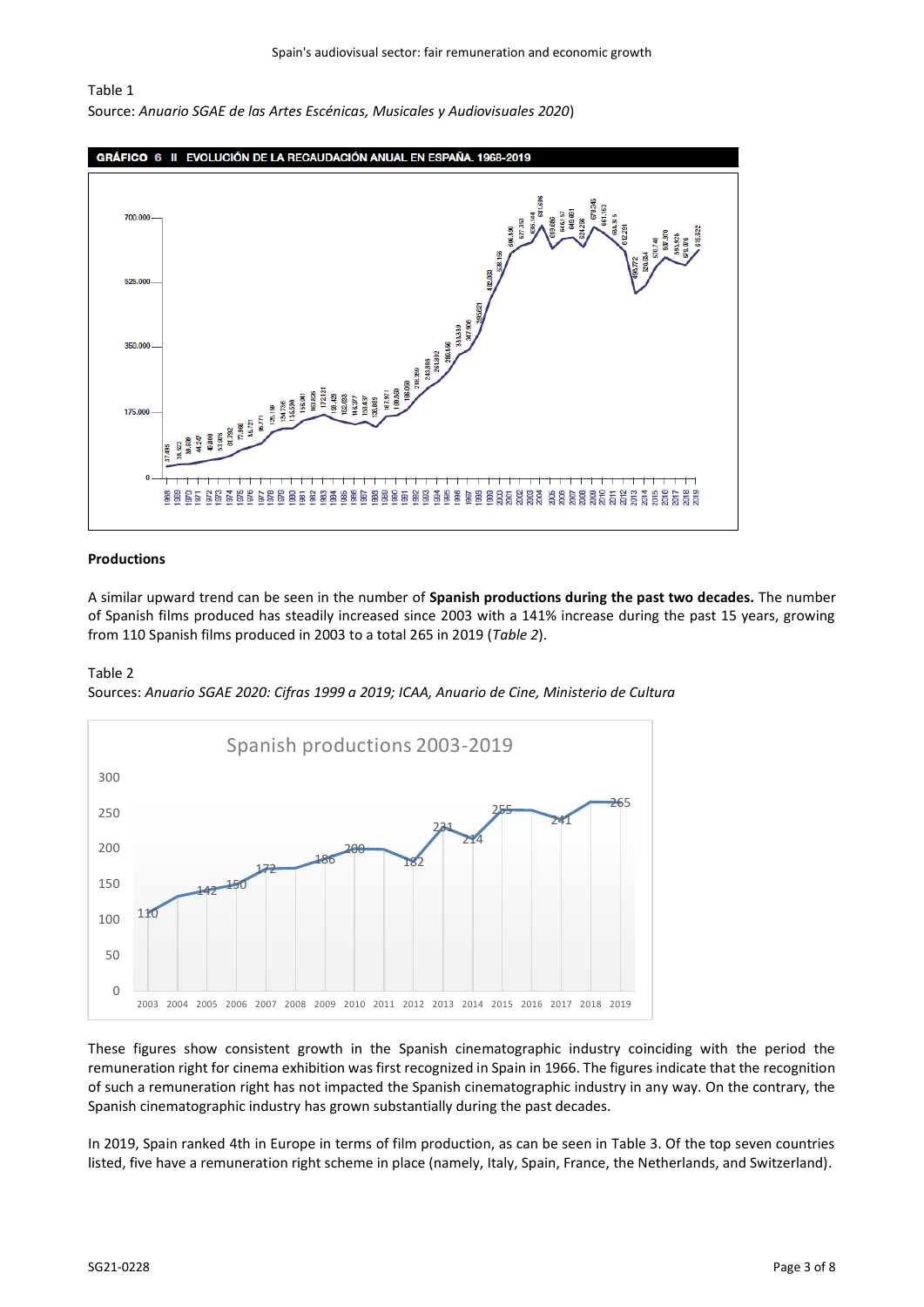#### Table 1

Source: *Anuario SGAE de las Artes Escénicas, Musicales y Audiovisuales 2020*)



#### **Productions**

A similar upward trend can be seen in the number of **Spanish productions during the past two decades.** The number of Spanish films produced has steadily increased since 2003 with a 141% increase during the past 15 years, growing from 110 Spanish films produced in 2003 to a total 265 in 2019 (*Table 2*).

#### Table 2

Sources: *Anuario SGAE 2020: Cifras 1999 a 2019; ICAA, Anuario de Cine, Ministerio de Cultura*



These figures show consistent growth in the Spanish cinematographic industry coinciding with the period the remuneration right for cinema exhibition was first recognized in Spain in 1966. The figures indicate that the recognition of such a remuneration right has not impacted the Spanish cinematographic industry in any way. On the contrary, the Spanish cinematographic industry has grown substantially during the past decades.

In 2019, Spain ranked 4th in Europe in terms of film production, as can be seen in Table 3. Of the top seven countries listed, five have a remuneration right scheme in place (namely, Italy, Spain, France, the Netherlands, and Switzerland).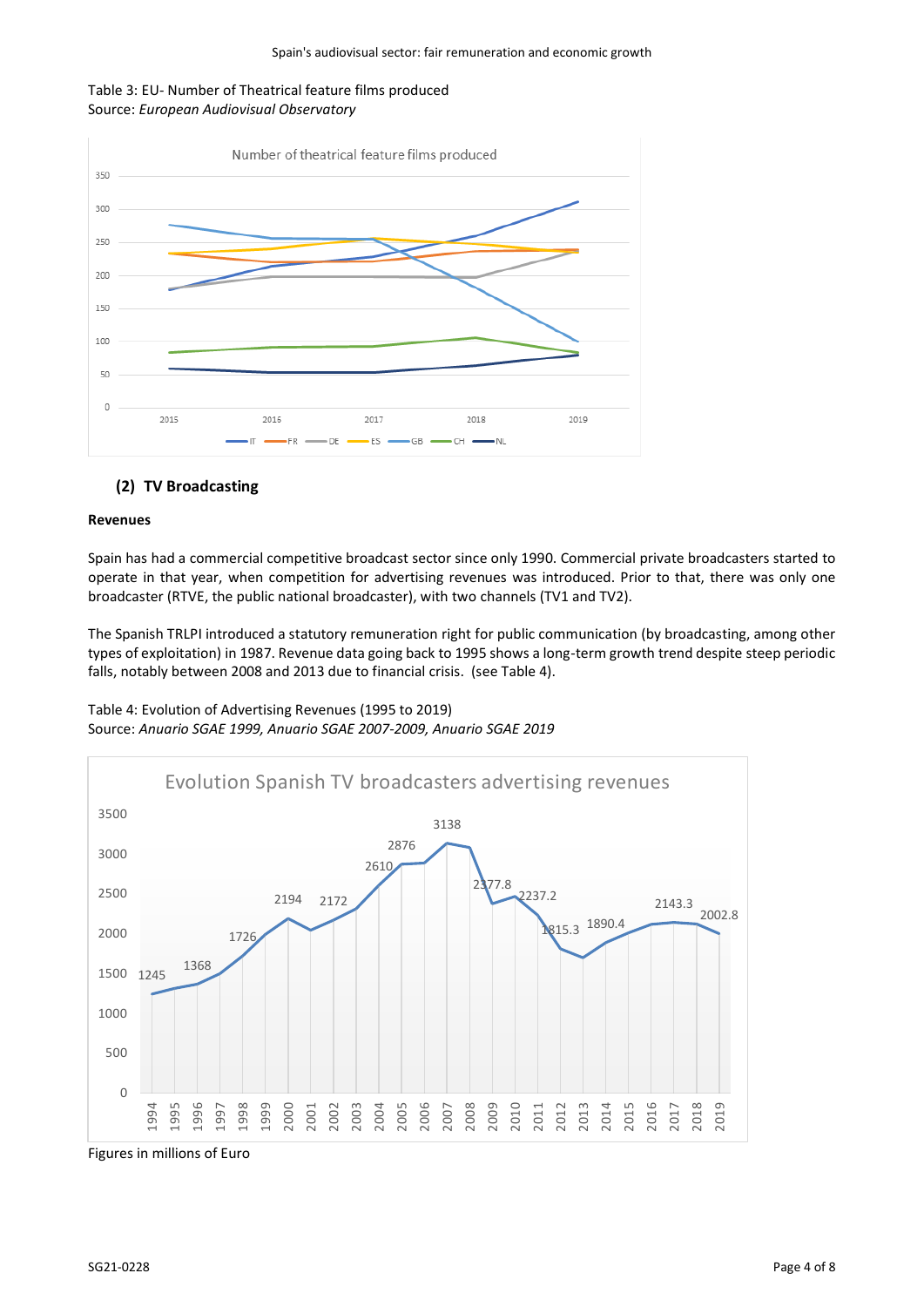### Table 3: EU- Number of Theatrical feature films produced Source: *European Audiovisual Observatory*



# **(2) TV Broadcasting**

### **Revenues**

Spain has had a commercial competitive broadcast sector since only 1990. Commercial private broadcasters started to operate in that year, when competition for advertising revenues was introduced. Prior to that, there was only one broadcaster (RTVE, the public national broadcaster), with two channels (TV1 and TV2).

The Spanish TRLPI introduced a statutory remuneration right for public communication (by broadcasting, among other types of exploitation) in 1987. Revenue data going back to 1995 shows a long-term growth trend despite steep periodic falls, notably between 2008 and 2013 due to financial crisis. (see Table 4).



Table 4: Evolution of Advertising Revenues (1995 to 2019) Source: *Anuario SGAE 1999, Anuario SGAE 2007-2009, Anuario SGAE 2019*

Figures in millions of Euro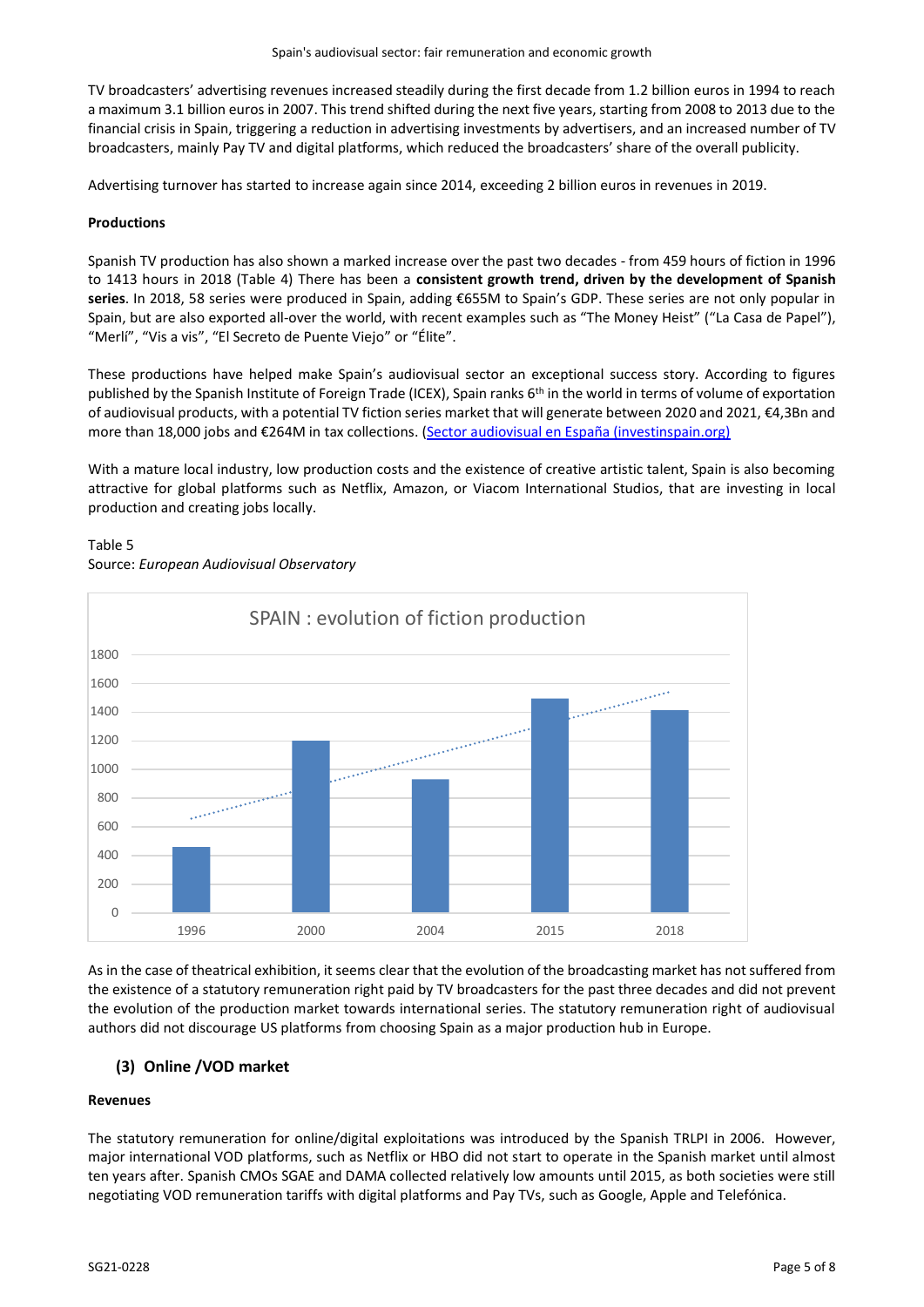TV broadcasters' advertising revenues increased steadily during the first decade from 1.2 billion euros in 1994 to reach a maximum 3.1 billion euros in 2007. This trend shifted during the next five years, starting from 2008 to 2013 due to the financial crisis in Spain, triggering a reduction in advertising investments by advertisers, and an increased number of TV broadcasters, mainly Pay TV and digital platforms, which reduced the broadcasters' share of the overall publicity.

Advertising turnover has started to increase again since 2014, exceeding 2 billion euros in revenues in 2019.

### **Productions**

Spanish TV production has also shown a marked increase over the past two decades - from 459 hours of fiction in 1996 to 1413 hours in 2018 (Table 4) There has been a **consistent growth trend, driven by the development of Spanish series**. In 2018, 58 series were produced in Spain, adding €655M to Spain's GDP. These series are not only popular in Spain, but are also exported all-over the world, with recent examples such as "The Money Heist" ("La Casa de Papel"), "Merlí", "Vis a vis", "El Secreto de Puente Viejo" or "Élite".

These productions have helped make Spain's audiovisual sector an exceptional success story. According to figures published by the Spanish Institute of Foreign Trade (ICEX), Spain ranks 6<sup>th</sup> in the world in terms of volume of exportation of audiovisual products, with a potential TV fiction series market that will generate between 2020 and 2021, €4,3Bn and more than 18,000 jobs and €264M in tax collections. ([Sector audiovisual en España \(investinspain.org\)](https://www.investinspain.org/es/sectores/audiovisual)

With a mature local industry, low production costs and the existence of creative artistic talent, Spain is also becoming attractive for global platforms such as Netflix, Amazon, or Viacom International Studios, that are investing in local production and creating jobs locally.



# Table 5 Source: *European Audiovisual Observatory*

As in the case of theatrical exhibition, it seems clear that the evolution of the broadcasting market has not suffered from the existence of a statutory remuneration right paid by TV broadcasters for the past three decades and did not prevent the evolution of the production market towards international series. The statutory remuneration right of audiovisual authors did not discourage US platforms from choosing Spain as a major production hub in Europe.

# **(3) Online /VOD market**

### **Revenues**

The statutory remuneration for online/digital exploitations was introduced by the Spanish TRLPI in 2006. However, major international VOD platforms, such as Netflix or HBO did not start to operate in the Spanish market until almost ten years after. Spanish CMOs SGAE and DAMA collected relatively low amounts until 2015, as both societies were still negotiating VOD remuneration tariffs with digital platforms and Pay TVs, such as Google, Apple and Telefónica.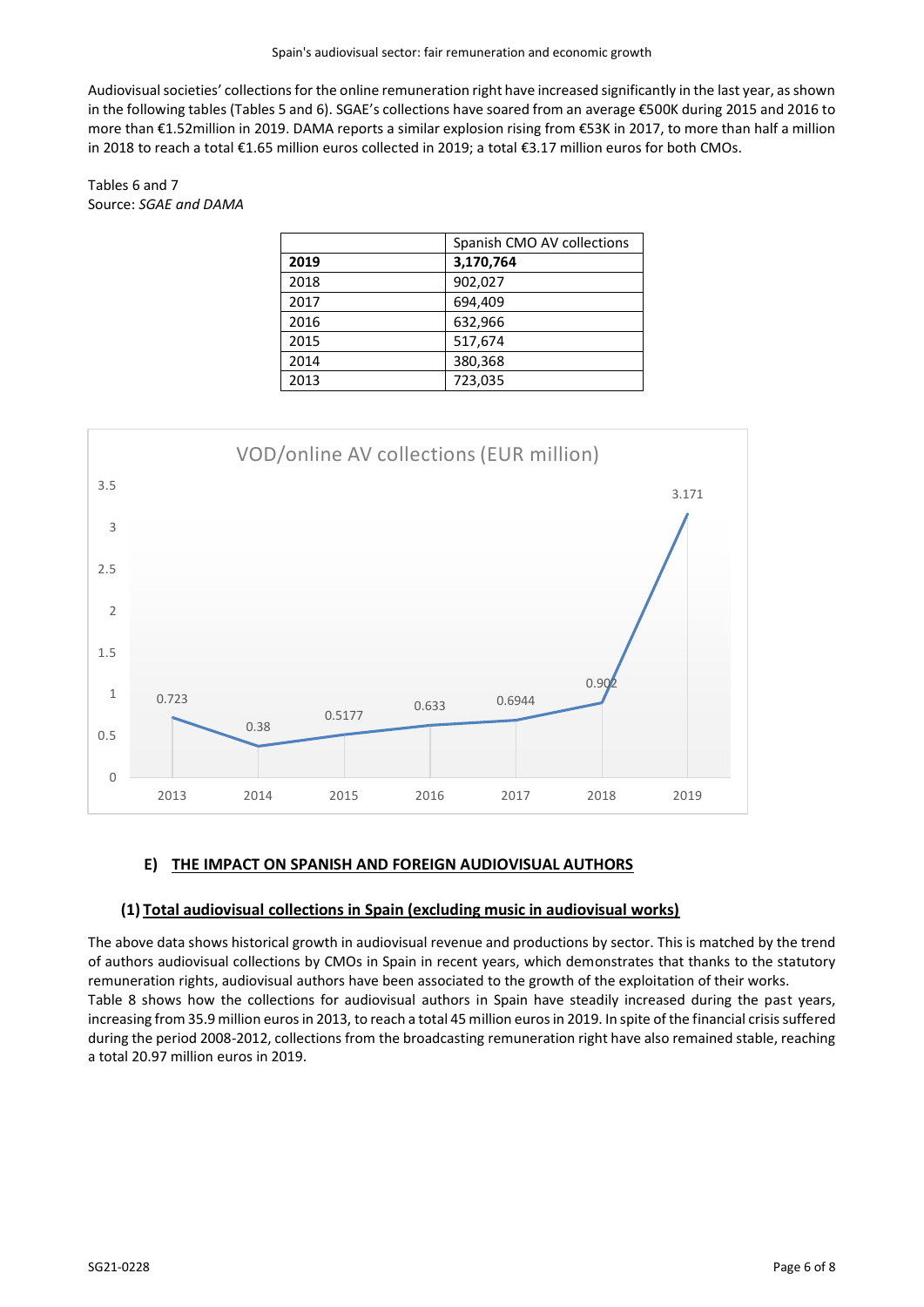Audiovisual societies' collections for the online remuneration right have increased significantly in the last year, as shown in the following tables (Tables 5 and 6). SGAE's collections have soared from an average €500K during 2015 and 2016 to more than €1.52million in 2019. DAMA reports a similar explosion rising from €53K in 2017, to more than half a million in 2018 to reach a total €1.65 million euros collected in 2019; a total €3.17 million euros for both CMOs.

# Tables 6 and 7 Source: *SGAE and DAMA*

|      | Spanish CMO AV collections |
|------|----------------------------|
| 2019 | 3,170,764                  |
| 2018 | 902,027                    |
| 2017 | 694,409                    |
| 2016 | 632,966                    |
| 2015 | 517,674                    |
| 2014 | 380,368                    |
| 2013 | 723,035                    |



# **E) THE IMPACT ON SPANISH AND FOREIGN AUDIOVISUAL AUTHORS**

# **(1) Total audiovisual collections in Spain (excluding music in audiovisual works)**

The above data shows historical growth in audiovisual revenue and productions by sector. This is matched by the trend of authors audiovisual collections by CMOs in Spain in recent years, which demonstrates that thanks to the statutory remuneration rights, audiovisual authors have been associated to the growth of the exploitation of their works. Table 8 shows how the collections for audiovisual authors in Spain have steadily increased during the past years, increasing from 35.9 million euros in 2013, to reach a total 45 million euros in 2019. In spite of the financial crisis suffered during the period 2008-2012, collections from the broadcasting remuneration right have also remained stable, reaching a total 20.97 million euros in 2019.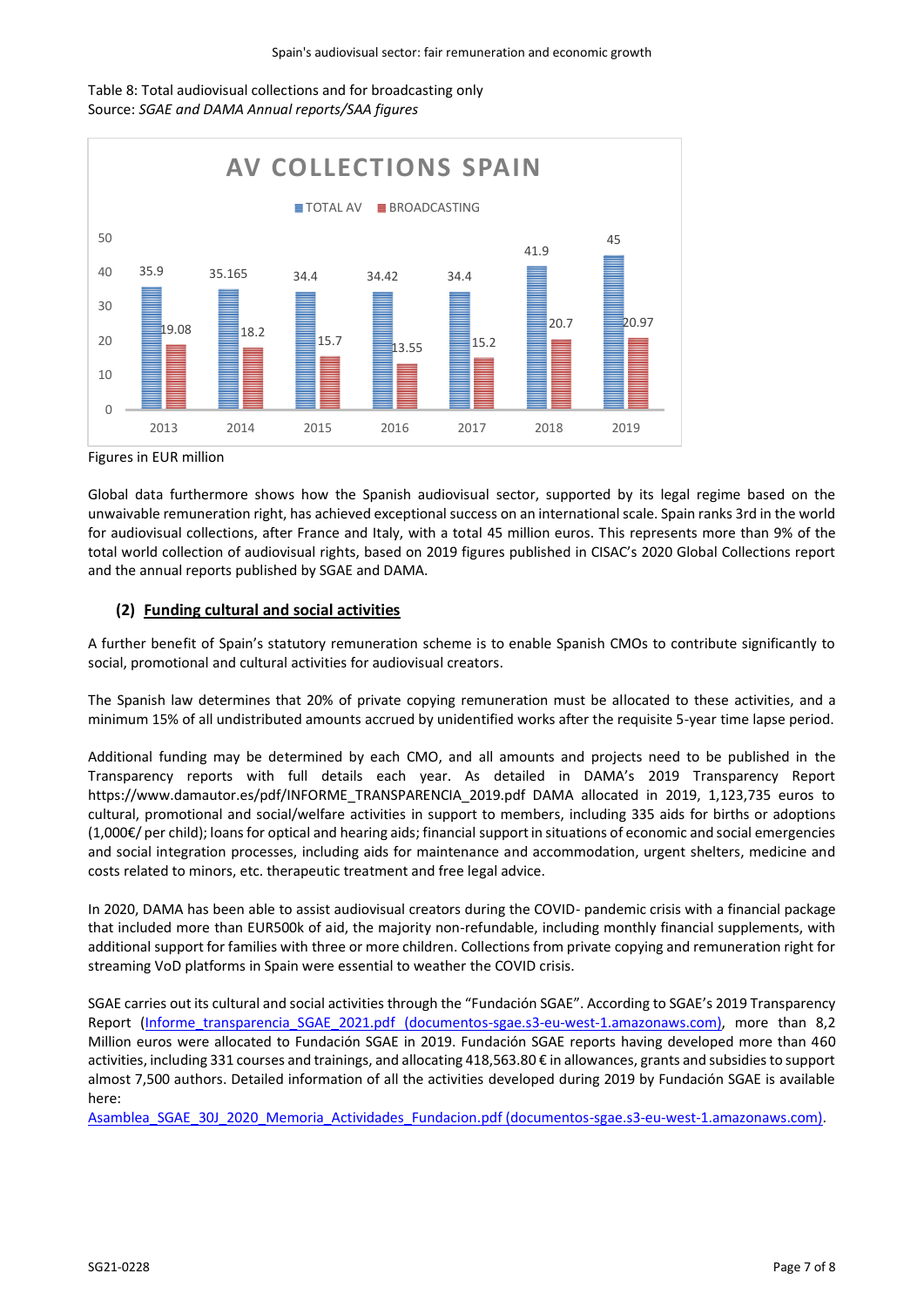



Figures in EUR million

Global data furthermore shows how the Spanish audiovisual sector, supported by its legal regime based on the unwaivable remuneration right, has achieved exceptional success on an international scale. Spain ranks 3rd in the world for audiovisual collections, after France and Italy, with a total 45 million euros. This represents more than 9% of the total world collection of audiovisual rights, based on 2019 figures published in CISAC's 2020 Global Collections report and the annual reports published by SGAE and DAMA.

# **(2) Funding cultural and social activities**

A further benefit of Spain's statutory remuneration scheme is to enable Spanish CMOs to contribute significantly to social, promotional and cultural activities for audiovisual creators.

The Spanish law determines that 20% of private copying remuneration must be allocated to these activities, and a minimum 15% of all undistributed amounts accrued by unidentified works after the requisite 5-year time lapse period.

Additional funding may be determined by each CMO, and all amounts and projects need to be published in the Transparency reports with full details each year. As detailed in DAMA's 2019 Transparency Report https://www.damautor.es/pdf/INFORME\_TRANSPARENCIA\_2019.pdf DAMA allocated in 2019, 1,123,735 euros to cultural, promotional and social/welfare activities in support to members, including 335 aids for births or adoptions (1,000€/ per child); loans for optical and hearing aids; financial support in situations of economic and social emergencies and social integration processes, including aids for maintenance and accommodation, urgent shelters, medicine and costs related to minors, etc. therapeutic treatment and free legal advice.

In 2020, DAMA has been able to assist audiovisual creators during the COVID- pandemic crisis with a financial package that included more than EUR500k of aid, the majority non-refundable, including monthly financial supplements, with additional support for families with three or more children. Collections from private copying and remuneration right for streaming VoD platforms in Spain were essential to weather the COVID crisis.

SGAE carries out its cultural and social activities through the "Fundación SGAE". According to SGAE's 2019 Transparency Report (Informe transparencia SGAE\_2021.pdf (documentos-sgae.s3-eu-west-1.amazonaws.com), more than 8,2 Million euros were allocated to Fundación SGAE in 2019. Fundación SGAE reports having developed more than 460 activities, including 331 courses and trainings, and allocating 418,563.80 € in allowances, grants and subsidies to support almost 7,500 authors. Detailed information of all the activities developed during 2019 by Fundación SGAE is available here:

[Asamblea\\_SGAE\\_30J\\_2020\\_Memoria\\_Actividades\\_Fundacion.pdf \(documentos-sgae.s3-eu-west-1.amazonaws.com\).](https://documentos-sgae.s3-eu-west-1.amazonaws.com/PDF_SGAE_2020/Secretaria_General/Asamblea_SGAE_30J/Asamblea_SGAE_30J_2020_Memoria_Actividades_Fundacion.pdf)